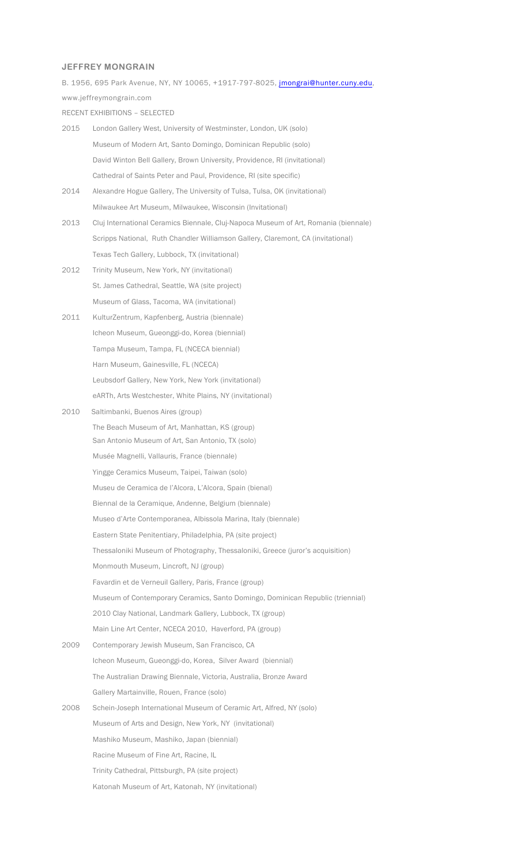**JEFFREY MONGRAIN** B. 1956, 695 Park Avenue, NY, NY 10065, +1917-797-8025, jmongrai@hunter.cuny.edu, www.jeffreymongrain.com RECENT EXHIBITIONS – SELECTED 2015 London Gallery West, University of Westminster, London, UK (solo) Museum of Modern Art, Santo Domingo, Dominican Republic (solo) David Winton Bell Gallery, Brown University, Providence, RI (invitational) Cathedral of Saints Peter and Paul, Providence, RI (site specific) 2014 Alexandre Hogue Gallery, The University of Tulsa, Tulsa, OK (invitational) Milwaukee Art Museum, Milwaukee, Wisconsin (Invitational) 2013 Cluj International Ceramics Biennale, Cluj-Napoca Museum of Art, Romania (biennale) Scripps National, Ruth Chandler Williamson Gallery, Claremont, CA (invitational) Texas Tech Gallery, Lubbock, TX (invitational) 2012 Trinity Museum, New York, NY (invitational) St. James Cathedral, Seattle, WA (site project) Museum of Glass, Tacoma, WA (invitational) 2011 KulturZentrum, Kapfenberg, Austria (biennale) Icheon Museum, Gueonggi-do, Korea (biennial) Tampa Museum, Tampa, FL (NCECA biennial) Harn Museum, Gainesville, FL (NCECA) Leubsdorf Gallery, New York, New York (invitational) eARTh, Arts Westchester, White Plains, NY (invitational) 2010 Saltimbanki, Buenos Aires (group) The Beach Museum of Art, Manhattan, KS (group) San Antonio Museum of Art, San Antonio, TX (solo) Musée Magnelli, Vallauris, France (biennale) Yingge Ceramics Museum, Taipei, Taiwan (solo) Museu de Ceramica de l'Alcora, L'Alcora, Spain (bienal) Biennal de la Ceramique, Andenne, Belgium (biennale) Museo d'Arte Contemporanea, Albissola Marina, Italy (biennale) Eastern State Penitentiary, Philadelphia, PA (site project) Thessaloniki Museum of Photography, Thessaloniki, Greece (juror's acquisition) Monmouth Museum, Lincroft, NJ (group) Favardin et de Verneuil Gallery, Paris, France (group) Museum of Contemporary Ceramics, Santo Domingo, Dominican Republic (triennial) 2010 Clay National, Landmark Gallery, Lubbock, TX (group) Main Line Art Center, NCECA 2010, Haverford, PA (group) 2009 Contemporary Jewish Museum, San Francisco, CA Icheon Museum, Gueonggi-do, Korea, Silver Award (biennial) The Australian Drawing Biennale, Victoria, Australia, Bronze Award Gallery Martainville, Rouen, France (solo) 2008 Schein-Joseph International Museum of Ceramic Art, Alfred, NY (solo) Museum of Arts and Design, New York, NY (invitational)

Mashiko Museum, Mashiko, Japan (biennial)

Racine Museum of Fine Art, Racine, IL

Trinity Cathedral, Pittsburgh, PA (site project)

Katonah Museum of Art, Katonah, NY (invitational)